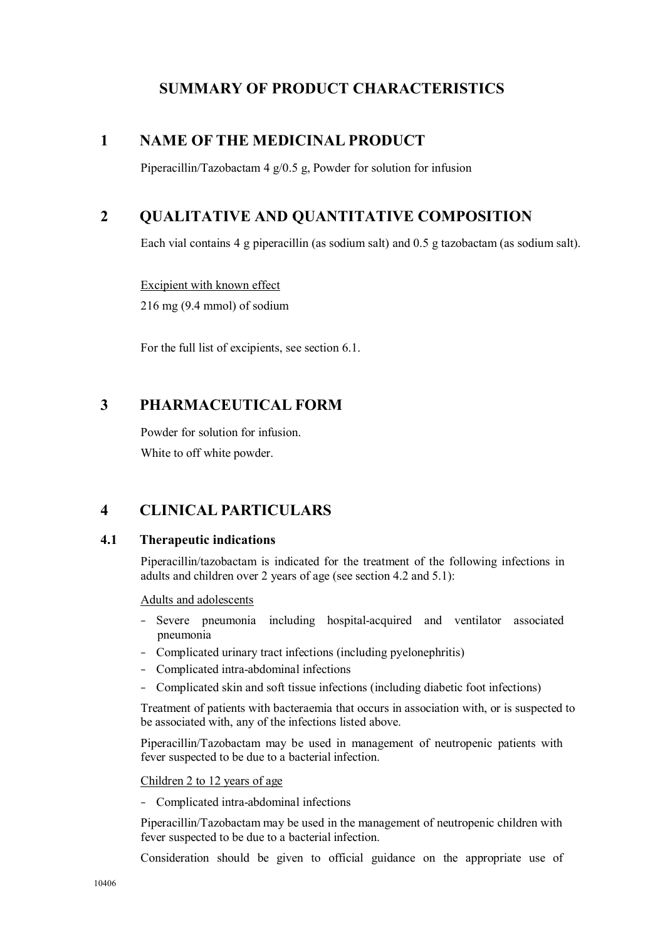## **SUMMARY OF PRODUCT CHARACTERISTICS**

## **1 NAME OF THE MEDICINAL PRODUCT**

Piperacillin/Tazobactam 4 g/0.5 g, Powder for solution for infusion

## **2 QUALITATIVE AND QUANTITATIVE COMPOSITION**

Each vial contains 4 g piperacillin (as sodium salt) and 0.5 g tazobactam (as sodium salt).

Excipient with known effect 216 mg (9.4 mmol) of sodium

For the full list of excipients, see section 6.1.

## **3 PHARMACEUTICAL FORM**

Powder for solution for infusion. White to off white powder.

## **4 CLINICAL PARTICULARS**

#### **4.1 Therapeutic indications**

Piperacillin/tazobactam is indicated for the treatment of the following infections in adults and children over 2 years of age (see section 4.2 and 5.1):

Adults and adolescents

- − Severe pneumonia including hospital-acquired and ventilator associated pneumonia
- − Complicated urinary tract infections (including pyelonephritis)
- − Complicated intra-abdominal infections
- − Complicated skin and soft tissue infections (including diabetic foot infections)

Treatment of patients with bacteraemia that occurs in association with, or is suspected to be associated with, any of the infections listed above.

Piperacillin/Tazobactam may be used in management of neutropenic patients with fever suspected to be due to a bacterial infection.

#### Children 2 to 12 years of age

− Complicated intra-abdominal infections

Piperacillin/Tazobactam may be used in the management of neutropenic children with fever suspected to be due to a bacterial infection.

Consideration should be given to official guidance on the appropriate use of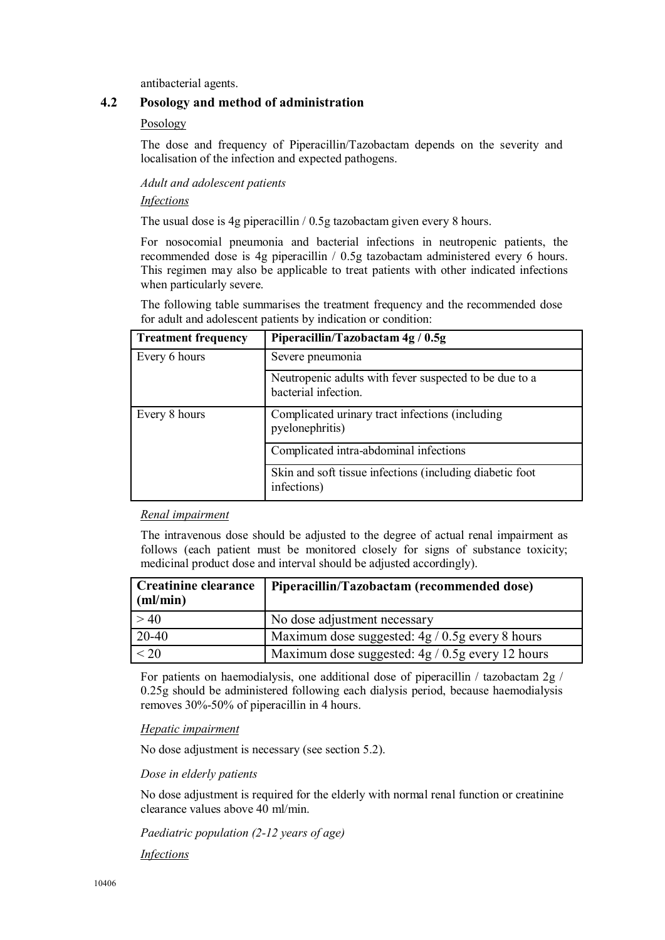antibacterial agents.

#### **4.2 Posology and method of administration**

#### **Posology**

The dose and frequency of Piperacillin/Tazobactam depends on the severity and localisation of the infection and expected pathogens.

*Adult and adolescent patients*

#### *Infections*

The usual dose is 4g piperacillin / 0.5g tazobactam given every 8 hours.

For nosocomial pneumonia and bacterial infections in neutropenic patients, the recommended dose is 4g piperacillin / 0.5g tazobactam administered every 6 hours. This regimen may also be applicable to treat patients with other indicated infections when particularly severe.

The following table summarises the treatment frequency and the recommended dose for adult and adolescent patients by indication or condition:

| <b>Treatment frequency</b> | Piperacillin/Tazobactam $4g / 0.5g$                                            |
|----------------------------|--------------------------------------------------------------------------------|
| Every 6 hours              | Severe pneumonia                                                               |
|                            | Neutropenic adults with fever suspected to be due to a<br>bacterial infection. |
| Every 8 hours              | Complicated urinary tract infections (including<br>pyelonephritis)             |
|                            | Complicated intra-abdominal infections                                         |
|                            | Skin and soft tissue infections (including diabetic foot<br>infections)        |

*Renal impairment*

The intravenous dose should be adjusted to the degree of actual renal impairment as follows (each patient must be monitored closely for signs of substance toxicity; medicinal product dose and interval should be adjusted accordingly).

| Creatinine clearance<br>(ml/min) | Piperacillin/Tazobactam (recommended dose)         |
|----------------------------------|----------------------------------------------------|
| >40                              | No dose adjustment necessary                       |
| $20-40$                          | Maximum dose suggested: $4g / 0.5g$ every 8 hours  |
| < 20                             | Maximum dose suggested: $4g / 0.5g$ every 12 hours |

For patients on haemodialysis, one additional dose of piperacillin / tazobactam 2g / 0.25g should be administered following each dialysis period, because haemodialysis removes 30%-50% of piperacillin in 4 hours.

*Hepatic impairment*

No dose adjustment is necessary (see section 5.2).

*Dose in elderly patients*

No dose adjustment is required for the elderly with normal renal function or creatinine clearance values above 40 ml/min.

*Paediatric population (2-12 years of age)* 

*Infections*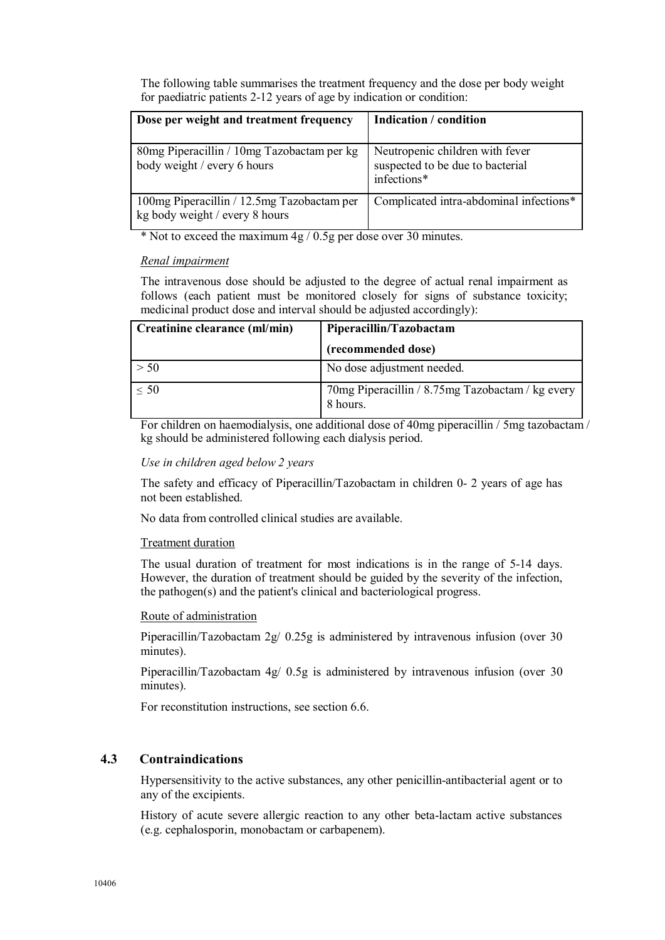The following table summarises the treatment frequency and the dose per body weight for paediatric patients 2-12 years of age by indication or condition:

| Dose per weight and treatment frequency                                      | Indication / condition                                                             |
|------------------------------------------------------------------------------|------------------------------------------------------------------------------------|
| 80mg Piperacillin / 10mg Tazobactam per kg<br>body weight / every 6 hours    | Neutropenic children with fever<br>suspected to be due to bacterial<br>infections* |
| 100mg Piperacillin / 12.5mg Tazobactam per<br>kg body weight / every 8 hours | Complicated intra-abdominal infections*                                            |

\* Not to exceed the maximum  $4g / 0.5g$  per dose over 30 minutes.

#### *Renal impairment*

The intravenous dose should be adjusted to the degree of actual renal impairment as follows (each patient must be monitored closely for signs of substance toxicity; medicinal product dose and interval should be adjusted accordingly):

| Creatinine clearance (ml/min) | Piperacillin/Tazobactam                                         |
|-------------------------------|-----------------------------------------------------------------|
|                               | (recommended dose)                                              |
| > 50                          | No dose adjustment needed.                                      |
| $\leq 50$                     | $70mg$ Piperacillin / 8.75 mg Tazobactam / kg every<br>8 hours. |

For children on haemodialysis, one additional dose of 40mg piperacillin / 5mg tazobactam / kg should be administered following each dialysis period.

#### *Use in children aged below 2 years*

The safety and efficacy of Piperacillin/Tazobactam in children 0- 2 years of age has not been established.

No data from controlled clinical studies are available.

#### Treatment duration

The usual duration of treatment for most indications is in the range of 5-14 days. However, the duration of treatment should be guided by the severity of the infection, the pathogen(s) and the patient's clinical and bacteriological progress.

#### Route of administration

Piperacillin/Tazobactam 2g/ 0.25g is administered by intravenous infusion (over 30 minutes).

Piperacillin/Tazobactam 4g/ 0.5g is administered by intravenous infusion (over 30 minutes).

For reconstitution instructions, see section 6.6.

#### **4.3 Contraindications**

Hypersensitivity to the active substances, any other penicillin-antibacterial agent or to any of the excipients.

History of acute severe allergic reaction to any other beta-lactam active substances (e.g. cephalosporin, monobactam or carbapenem).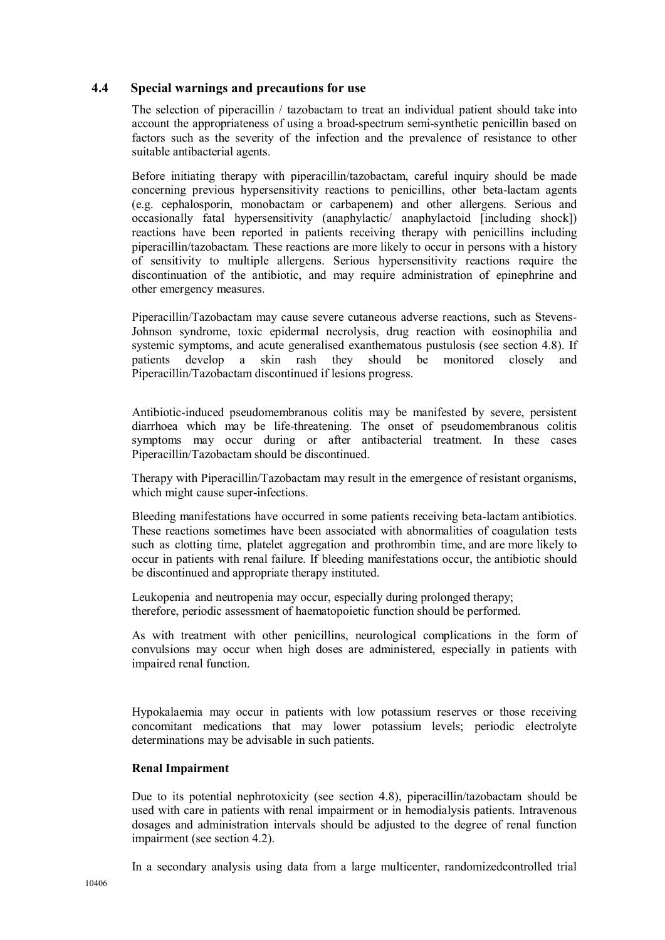#### **4.4 Special warnings and precautions for use**

The selection of piperacillin / tazobactam to treat an individual patient should take into account the appropriateness of using a broad-spectrum semi-synthetic penicillin based on factors such as the severity of the infection and the prevalence of resistance to other suitable antibacterial agents.

Before initiating therapy with piperacillin/tazobactam, careful inquiry should be made concerning previous hypersensitivity reactions to penicillins, other beta-lactam agents (e.g. cephalosporin, monobactam or carbapenem) and other allergens. Serious and occasionally fatal hypersensitivity (anaphylactic/ anaphylactoid [including shock]) reactions have been reported in patients receiving therapy with penicillins including piperacillin/tazobactam. These reactions are more likely to occur in persons with a history of sensitivity to multiple allergens. Serious hypersensitivity reactions require the discontinuation of the antibiotic, and may require administration of epinephrine and other emergency measures.

Piperacillin/Tazobactam may cause severe cutaneous adverse reactions, such as Stevens-Johnson syndrome, toxic epidermal necrolysis, drug reaction with eosinophilia and systemic symptoms, and acute generalised exanthematous pustulosis (see section 4.8). If patients develop a skin rash they should be monitored closely and Piperacillin/Tazobactam discontinued if lesions progress.

Antibiotic-induced pseudomembranous colitis may be manifested by severe, persistent diarrhoea which may be life-threatening. The onset of pseudomembranous colitis symptoms may occur during or after antibacterial treatment. In these cases Piperacillin/Tazobactam should be discontinued.

Therapy with Piperacillin/Tazobactam may result in the emergence of resistant organisms, which might cause super-infections.

Bleeding manifestations have occurred in some patients receiving beta-lactam antibiotics. These reactions sometimes have been associated with abnormalities of coagulation tests such as clotting time, platelet aggregation and prothrombin time, and are more likely to occur in patients with renal failure. If bleeding manifestations occur, the antibiotic should be discontinued and appropriate therapy instituted.

Leukopenia and neutropenia may occur, especially during prolonged therapy; therefore, periodic assessment of haematopoietic function should be performed.

As with treatment with other penicillins, neurological complications in the form of convulsions may occur when high doses are administered, especially in patients with impaired renal function.

Hypokalaemia may occur in patients with low potassium reserves or those receiving concomitant medications that may lower potassium levels; periodic electrolyte determinations may be advisable in such patients.

#### **Renal Impairment**

Due to its potential nephrotoxicity (see section 4.8), piperacillin/tazobactam should be used with care in patients with renal impairment or in hemodialysis patients. Intravenous dosages and administration intervals should be adjusted to the degree of renal function impairment (see section 4.2).

In a secondary analysis using data from a large multicenter, randomizedcontrolled trial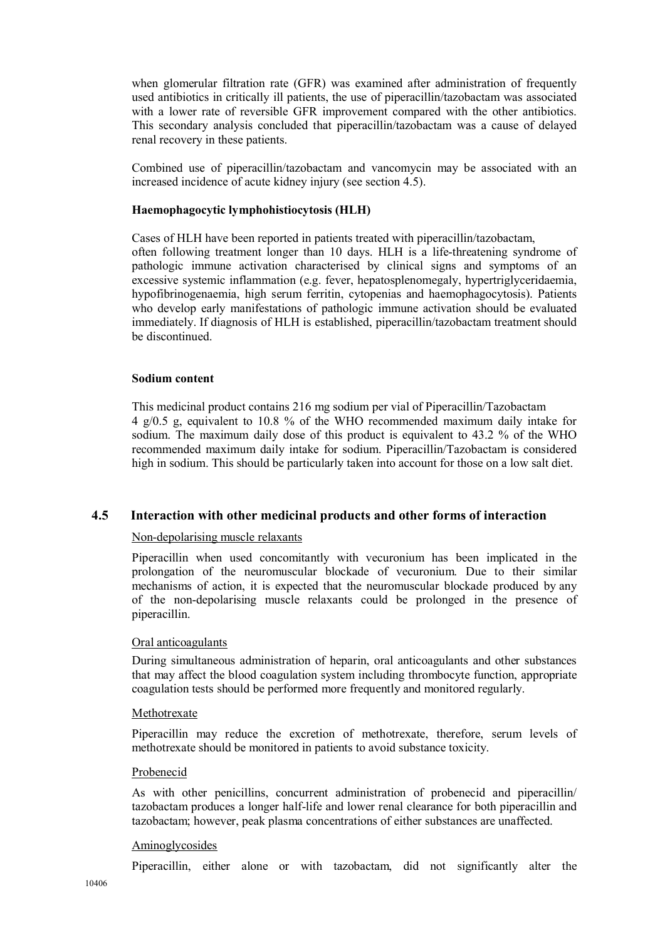when glomerular filtration rate (GFR) was examined after administration of frequently used antibiotics in critically ill patients, the use of piperacillin/tazobactam was associated with a lower rate of reversible GFR improvement compared with the other antibiotics. This secondary analysis concluded that piperacillin/tazobactam was a cause of delayed renal recovery in these patients.

Combined use of piperacillin/tazobactam and vancomycin may be associated with an increased incidence of acute kidney injury (see section 4.5).

#### **Haemophagocytic lymphohistiocytosis (HLH)**

Cases of HLH have been reported in patients treated with piperacillin/tazobactam, often following treatment longer than 10 days. HLH is a life-threatening syndrome of pathologic immune activation characterised by clinical signs and symptoms of an excessive systemic inflammation (e.g. fever, hepatosplenomegaly, hypertriglyceridaemia, hypofibrinogenaemia, high serum ferritin, cytopenias and haemophagocytosis). Patients who develop early manifestations of pathologic immune activation should be evaluated immediately. If diagnosis of HLH is established, piperacillin/tazobactam treatment should

#### **Sodium content**

be discontinued.

This medicinal product contains 216 mg sodium per vial of Piperacillin/Tazobactam 4 g/0.5 g, equivalent to 10.8 % of the WHO recommended maximum daily intake for sodium. The maximum daily dose of this product is equivalent to 43.2 % of the WHO recommended maximum daily intake for sodium. Piperacillin/Tazobactam is considered high in sodium. This should be particularly taken into account for those on a low salt diet.

#### **4.5 Interaction with other medicinal products and other forms of interaction**

#### Non-depolarising muscle relaxants

Piperacillin when used concomitantly with vecuronium has been implicated in the prolongation of the neuromuscular blockade of vecuronium. Due to their similar mechanisms of action, it is expected that the neuromuscular blockade produced by any of the non-depolarising muscle relaxants could be prolonged in the presence of piperacillin.

#### Oral anticoagulants

During simultaneous administration of heparin, oral anticoagulants and other substances that may affect the blood coagulation system including thrombocyte function, appropriate coagulation tests should be performed more frequently and monitored regularly.

#### **Methotrexate**

Piperacillin may reduce the excretion of methotrexate, therefore, serum levels of methotrexate should be monitored in patients to avoid substance toxicity.

#### Probenecid

As with other penicillins, concurrent administration of probenecid and piperacillin/ tazobactam produces a longer half-life and lower renal clearance for both piperacillin and tazobactam; however, peak plasma concentrations of either substances are unaffected.

#### Aminoglycosides

Piperacillin, either alone or with tazobactam, did not significantly alter the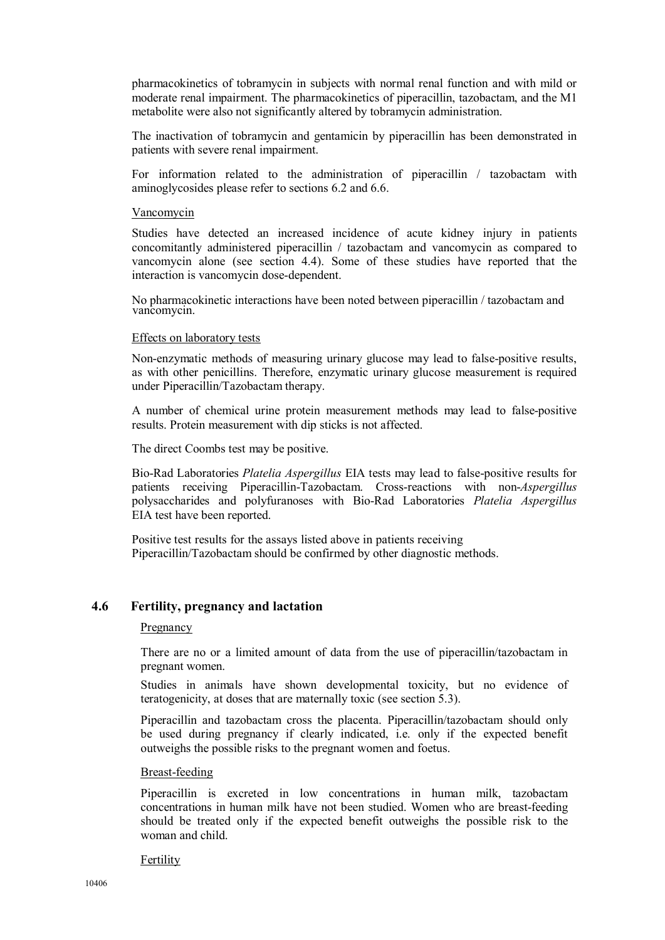pharmacokinetics of tobramycin in subjects with normal renal function and with mild or moderate renal impairment. The pharmacokinetics of piperacillin, tazobactam, and the M1 metabolite were also not significantly altered by tobramycin administration.

The inactivation of tobramycin and gentamicin by piperacillin has been demonstrated in patients with severe renal impairment.

For information related to the administration of piperacillin / tazobactam with aminoglycosides please refer to sections 6.2 and 6.6.

#### Vancomycin

Studies have detected an increased incidence of acute kidney injury in patients concomitantly administered piperacillin / tazobactam and vancomycin as compared to vancomycin alone (see section 4.4). Some of these studies have reported that the interaction is vancomycin dose-dependent.

No pharmacokinetic interactions have been noted between piperacillin / tazobactam and vancomycin.

#### Effects on laboratory tests

Non-enzymatic methods of measuring urinary glucose may lead to false-positive results, as with other penicillins. Therefore, enzymatic urinary glucose measurement is required under Piperacillin/Tazobactam therapy.

A number of chemical urine protein measurement methods may lead to false-positive results. Protein measurement with dip sticks is not affected.

The direct Coombs test may be positive.

Bio-Rad Laboratories *Platelia Aspergillus* EIA tests may lead to false-positive results for patients receiving Piperacillin-Tazobactam. Cross-reactions with non-*Aspergillus*  polysaccharides and polyfuranoses with Bio-Rad Laboratories *Platelia Aspergillus*  EIA test have been reported.

Positive test results for the assays listed above in patients receiving Piperacillin/Tazobactam should be confirmed by other diagnostic methods.

#### **4.6 Fertility, pregnancy and lactation**

#### Pregnancy

There are no or a limited amount of data from the use of piperacillin/tazobactam in pregnant women.

Studies in animals have shown developmental toxicity, but no evidence of teratogenicity, at doses that are maternally toxic (see section 5.3).

Piperacillin and tazobactam cross the placenta. Piperacillin/tazobactam should only be used during pregnancy if clearly indicated, i.e. only if the expected benefit outweighs the possible risks to the pregnant women and foetus.

#### Breast-feeding

Piperacillin is excreted in low concentrations in human milk, tazobactam concentrations in human milk have not been studied. Women who are breast-feeding should be treated only if the expected benefit outweighs the possible risk to the woman and child.

#### **Fertility**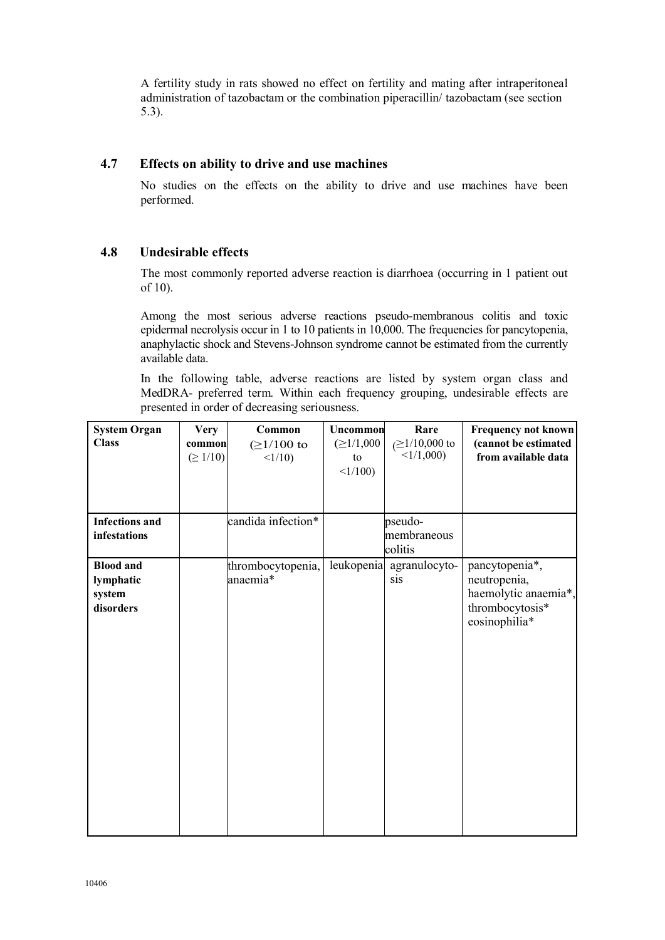A fertility study in rats showed no effect on fertility and mating after intraperitoneal administration of tazobactam or the combination piperacillin/ tazobactam (see section 5.3).

#### **4.7 Effects on ability to drive and use machines**

No studies on the effects on the ability to drive and use machines have been performed.

#### **4.8 Undesirable effects**

The most commonly reported adverse reaction is diarrhoea (occurring in 1 patient out of 10).

Among the most serious adverse reactions pseudo-membranous colitis and toxic epidermal necrolysis occur in 1 to 10 patients in 10,000. The frequencies for pancytopenia, anaphylactic shock and Stevens-Johnson syndrome cannot be estimated from the currently available data.

In the following table, adverse reactions are listed by system organ class and MedDRA- preferred term. Within each frequency grouping, undesirable effects are presented in order of decreasing seriousness.

| <b>System Organ</b>   | <b>Very</b>     | Common                     | Uncommon        | Rare                                                               | <b>Frequency not known</b> |
|-----------------------|-----------------|----------------------------|-----------------|--------------------------------------------------------------------|----------------------------|
| <b>Class</b>          | common          | $( \geq 1/100 \text{ to }$ | $(\geq 1/1,000$ | $\begin{array}{c} (\geq 1/10,000 \text{ to } 1/1,000) \end{array}$ | (cannot be estimated       |
|                       | $( \geq 1/10 )$ | 1/10                       | to              |                                                                    | from available data        |
|                       |                 |                            | $<1/100$ )      |                                                                    |                            |
|                       |                 |                            |                 |                                                                    |                            |
|                       |                 |                            |                 |                                                                    |                            |
|                       |                 |                            |                 |                                                                    |                            |
| <b>Infections and</b> |                 | candida infection*         |                 | pseudo-                                                            |                            |
| infestations          |                 |                            |                 | membraneous                                                        |                            |
|                       |                 |                            |                 | colitis                                                            |                            |
| <b>Blood and</b>      |                 | thrombocytopenia,          | leukopenia      | agranulocyto-                                                      | pancytopenia*,             |
| lymphatic             |                 | anaemia*                   |                 | sis                                                                | neutropenia,               |
| system                |                 |                            |                 |                                                                    | haemolytic anaemia*,       |
| disorders             |                 |                            |                 |                                                                    | thrombocytosis*            |
|                       |                 |                            |                 |                                                                    | eosinophilia*              |
|                       |                 |                            |                 |                                                                    |                            |
|                       |                 |                            |                 |                                                                    |                            |
|                       |                 |                            |                 |                                                                    |                            |
|                       |                 |                            |                 |                                                                    |                            |
|                       |                 |                            |                 |                                                                    |                            |
|                       |                 |                            |                 |                                                                    |                            |
|                       |                 |                            |                 |                                                                    |                            |
|                       |                 |                            |                 |                                                                    |                            |
|                       |                 |                            |                 |                                                                    |                            |
|                       |                 |                            |                 |                                                                    |                            |
|                       |                 |                            |                 |                                                                    |                            |
|                       |                 |                            |                 |                                                                    |                            |
|                       |                 |                            |                 |                                                                    |                            |
|                       |                 |                            |                 |                                                                    |                            |
|                       |                 |                            |                 |                                                                    |                            |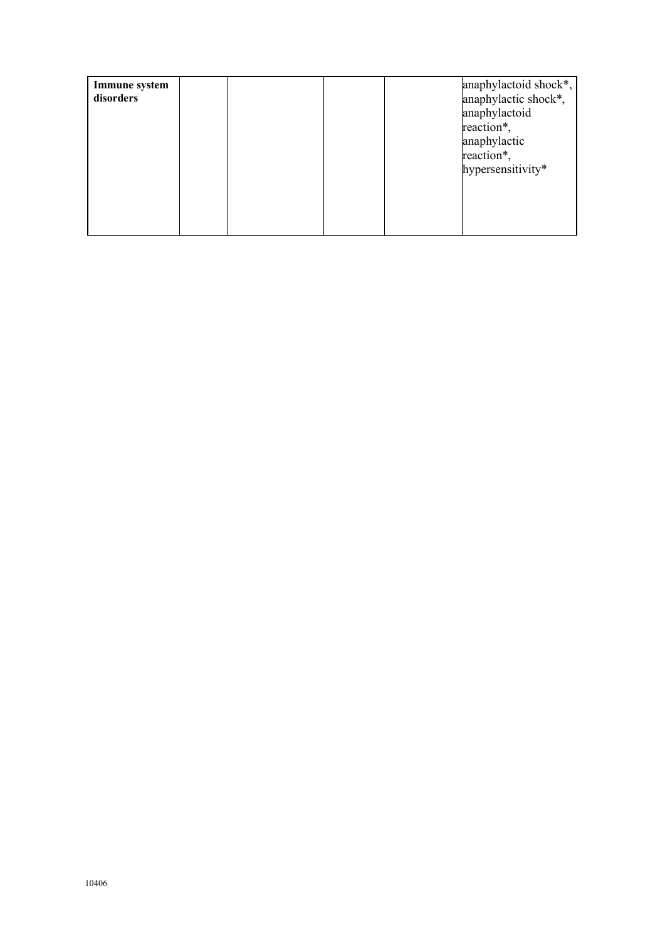| Immune system<br>disorders |  |  | anaphylactoid shock*,<br>anaphylactic shock*,<br>anaphylactoid<br>reaction*,<br>anaphylactic<br>reaction*,<br>hypersensitivity* |
|----------------------------|--|--|---------------------------------------------------------------------------------------------------------------------------------|
|                            |  |  |                                                                                                                                 |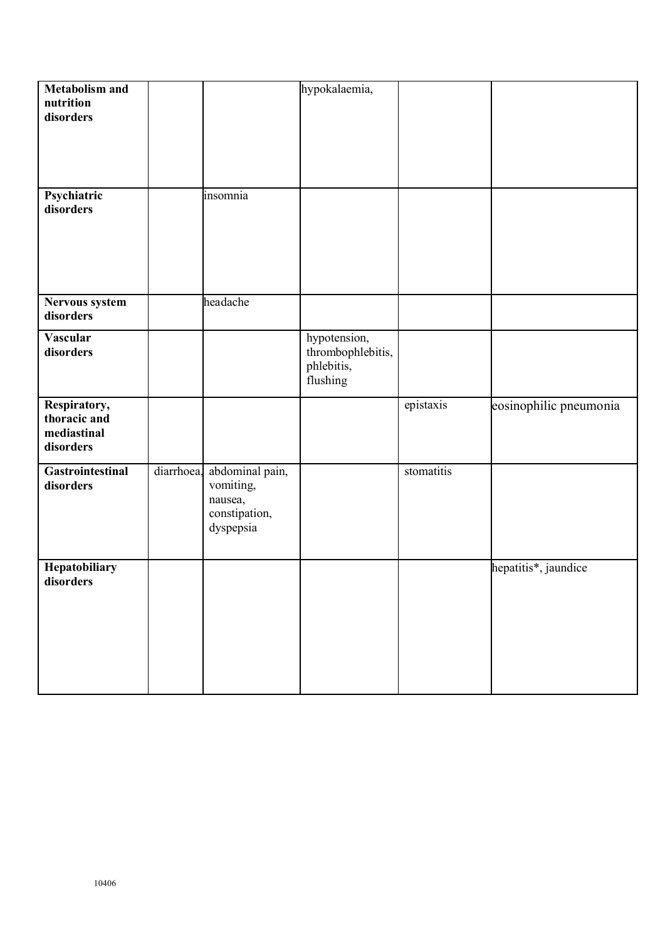| <b>Metabolism and</b> |                            | hypokalaemia,     |            |                        |
|-----------------------|----------------------------|-------------------|------------|------------------------|
| nutrition             |                            |                   |            |                        |
| disorders             |                            |                   |            |                        |
|                       |                            |                   |            |                        |
|                       |                            |                   |            |                        |
|                       |                            |                   |            |                        |
|                       |                            |                   |            |                        |
|                       |                            |                   |            |                        |
| Psychiatric           | insomnia                   |                   |            |                        |
| disorders             |                            |                   |            |                        |
|                       |                            |                   |            |                        |
|                       |                            |                   |            |                        |
|                       |                            |                   |            |                        |
|                       |                            |                   |            |                        |
|                       |                            |                   |            |                        |
|                       |                            |                   |            |                        |
|                       |                            |                   |            |                        |
| Nervous system        | headache                   |                   |            |                        |
| disorders             |                            |                   |            |                        |
|                       |                            |                   |            |                        |
| Vascular              |                            | hypotension,      |            |                        |
| disorders             |                            | thrombophlebitis, |            |                        |
|                       |                            | phlebitis,        |            |                        |
|                       |                            | flushing          |            |                        |
|                       |                            |                   |            |                        |
| Respiratory,          |                            |                   | epistaxis  | eosinophilic pneumonia |
| thoracic and          |                            |                   |            |                        |
| mediastinal           |                            |                   |            |                        |
|                       |                            |                   |            |                        |
| disorders             |                            |                   |            |                        |
|                       |                            |                   |            |                        |
| Gastrointestinal      | diarrhoea, abdominal pain, |                   | stomatitis |                        |
| disorders             | vomiting,                  |                   |            |                        |
|                       | nausea,                    |                   |            |                        |
|                       | constipation,              |                   |            |                        |
|                       | dyspepsia                  |                   |            |                        |
|                       |                            |                   |            |                        |
|                       |                            |                   |            |                        |
| Hepatobiliary         |                            |                   |            | hepatitis*, jaundice   |
| disorders             |                            |                   |            |                        |
|                       |                            |                   |            |                        |
|                       |                            |                   |            |                        |
|                       |                            |                   |            |                        |
|                       |                            |                   |            |                        |
|                       |                            |                   |            |                        |
|                       |                            |                   |            |                        |
|                       |                            |                   |            |                        |
|                       |                            |                   |            |                        |
|                       |                            |                   |            |                        |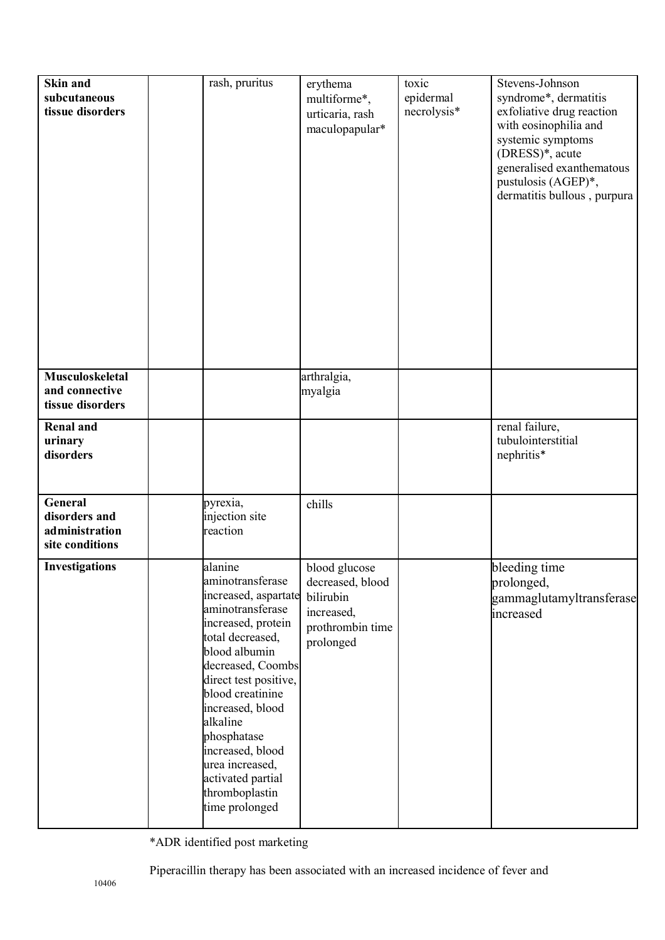| <b>Skin and</b><br>subcutaneous<br>tissue disorders                  | rash, pruritus                                                                                                                                                                                                                                                                                                                                      | erythema<br>multiforme*,<br>urticaria, rash<br>maculopapular*                                 | toxic<br>epidermal<br>necrolysis* | Stevens-Johnson<br>syndrome*, dermatitis<br>exfoliative drug reaction<br>with eosinophilia and<br>systemic symptoms<br>(DRESS)*, acute<br>generalised exanthematous<br>pustulosis (AGEP)*,<br>dermatitis bullous, purpura |
|----------------------------------------------------------------------|-----------------------------------------------------------------------------------------------------------------------------------------------------------------------------------------------------------------------------------------------------------------------------------------------------------------------------------------------------|-----------------------------------------------------------------------------------------------|-----------------------------------|---------------------------------------------------------------------------------------------------------------------------------------------------------------------------------------------------------------------------|
| Musculoskeletal<br>and connective<br>tissue disorders                |                                                                                                                                                                                                                                                                                                                                                     | arthralgia,<br>myalgia                                                                        |                                   |                                                                                                                                                                                                                           |
| <b>Renal and</b><br>urinary<br>disorders                             |                                                                                                                                                                                                                                                                                                                                                     |                                                                                               |                                   | renal failure,<br>tubulointerstitial<br>nephritis*                                                                                                                                                                        |
| <b>General</b><br>disorders and<br>administration<br>site conditions | pyrexia,<br>injection site<br>reaction                                                                                                                                                                                                                                                                                                              | chills                                                                                        |                                   |                                                                                                                                                                                                                           |
| <b>Investigations</b>                                                | alanine<br>aminotransferase<br>increased, aspartate<br>aminotransferase<br>increased, protein<br>total decreased,<br>blood albumin<br>decreased, Coombs<br>direct test positive,<br>blood creatinine<br>increased, blood<br>alkaline<br>phosphatase<br>increased, blood<br>urea increased,<br>activated partial<br>thromboplastin<br>time prolonged | blood glucose<br>decreased, blood<br>bilirubin<br>increased,<br>prothrombin time<br>prolonged |                                   | bleeding time<br>prolonged,<br>gammaglutamyltransferase<br>increased                                                                                                                                                      |

\*ADR identified post marketing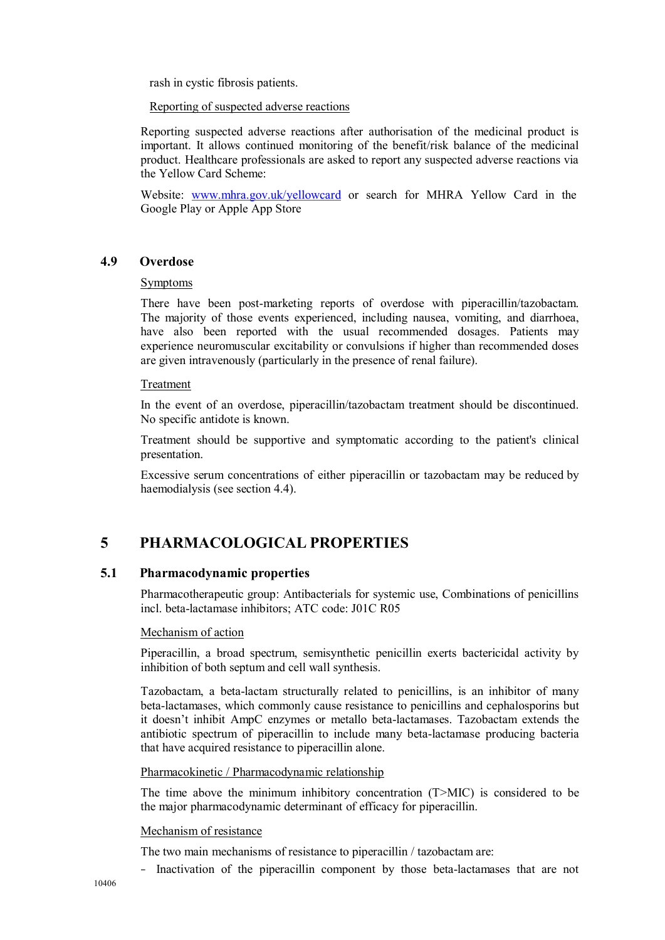rash in cystic fibrosis patients.

#### Reporting of suspected adverse reactions

Reporting suspected adverse reactions after authorisation of the medicinal product is important. It allows continued monitoring of the benefit/risk balance of the medicinal product. Healthcare professionals are asked to report any suspected adverse reactions via the Yellow Card Scheme:

Website: [www.mhra.gov.uk/yellowcard](http://www.mhra.gov.uk/yellowcard) or search for MHRA Yellow Card in the Google Play or Apple App Store

#### **4.9 Overdose**

#### **Symptoms**

There have been post-marketing reports of overdose with piperacillin/tazobactam. The majority of those events experienced, including nausea, vomiting, and diarrhoea, have also been reported with the usual recommended dosages. Patients may experience neuromuscular excitability or convulsions if higher than recommended doses are given intravenously (particularly in the presence of renal failure).

#### Treatment

In the event of an overdose, piperacillin/tazobactam treatment should be discontinued. No specific antidote is known.

Treatment should be supportive and symptomatic according to the patient's clinical presentation.

Excessive serum concentrations of either piperacillin or tazobactam may be reduced by haemodialysis (see section 4.4).

## **5 PHARMACOLOGICAL PROPERTIES**

#### **5.1 Pharmacodynamic properties**

Pharmacotherapeutic group: Antibacterials for systemic use, Combinations of penicillins incl. beta-lactamase inhibitors; ATC code: J01C R05

#### Mechanism of action

Piperacillin, a broad spectrum, semisynthetic penicillin exerts bactericidal activity by inhibition of both septum and cell wall synthesis.

Tazobactam, a beta-lactam structurally related to penicillins, is an inhibitor of many beta-lactamases, which commonly cause resistance to penicillins and cephalosporins but it doesn't inhibit AmpC enzymes or metallo beta-lactamases. Tazobactam extends the antibiotic spectrum of piperacillin to include many beta-lactamase producing bacteria that have acquired resistance to piperacillin alone.

#### Pharmacokinetic / Pharmacodynamic relationship

The time above the minimum inhibitory concentration (T>MIC) is considered to be the major pharmacodynamic determinant of efficacy for piperacillin.

#### Mechanism of resistance

The two main mechanisms of resistance to piperacillin / tazobactam are:

− Inactivation of the piperacillin component by those beta-lactamases that are not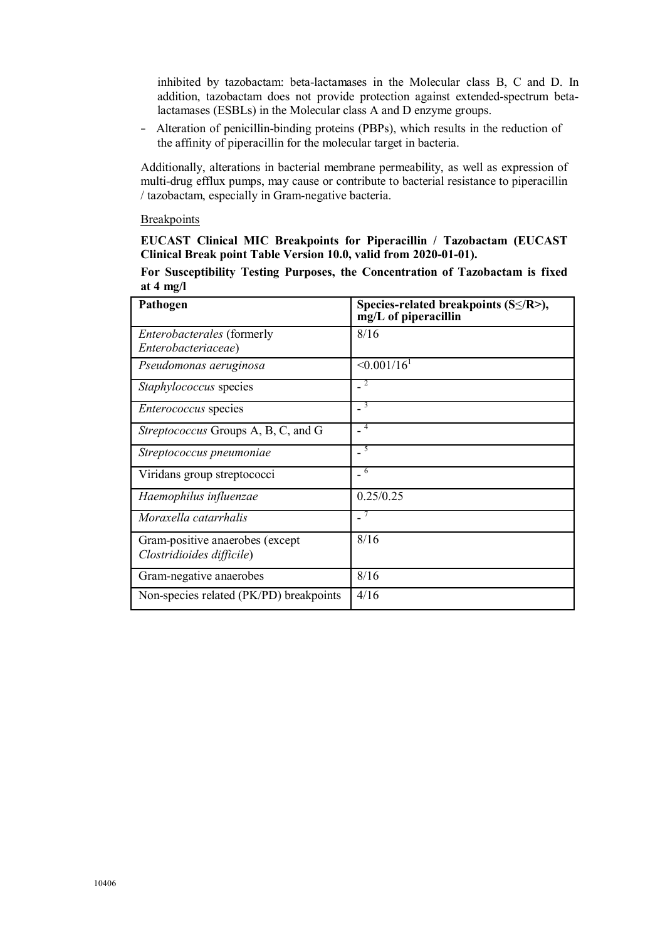inhibited by tazobactam: beta-lactamases in the Molecular class B, C and D. In addition, tazobactam does not provide protection against extended-spectrum betalactamases (ESBLs) in the Molecular class A and D enzyme groups.

− Alteration of penicillin-binding proteins (PBPs), which results in the reduction of the affinity of piperacillin for the molecular target in bacteria.

Additionally, alterations in bacterial membrane permeability, as well as expression of multi-drug efflux pumps, may cause or contribute to bacterial resistance to piperacillin / tazobactam, especially in Gram-negative bacteria.

Breakpoints

**EUCAST Clinical MIC Breakpoints for Piperacillin / Tazobactam (EUCAST Clinical Break point Table Version 10.0, valid from 2020-01-01).**

|           |  | For Susceptibility Testing Purposes, the Concentration of Tazobactam is fixed |  |  |
|-----------|--|-------------------------------------------------------------------------------|--|--|
| at 4 mg/l |  |                                                                               |  |  |

| Pathogen                                                     | Species-related breakpoints $(S\leq/R$ ),<br>mg/L of piperacillin |
|--------------------------------------------------------------|-------------------------------------------------------------------|
| <i>Enterobacterales</i> (formerly<br>Enterobacteriaceae)     | 8/16                                                              |
| Pseudomonas aeruginosa                                       | $\leq 0.001/16$ <sup>1</sup>                                      |
| Staphylococcus species                                       |                                                                   |
| <i>Enterococcus</i> species                                  | 3                                                                 |
| <i>Streptococcus</i> Groups A, B, C, and G                   | $\overline{4}$                                                    |
| Streptococcus pneumoniae                                     | $-5$                                                              |
| Viridans group streptococci                                  | -6                                                                |
| Haemophilus influenzae                                       | 0.25/0.25                                                         |
| Moraxella catarrhalis                                        |                                                                   |
| Gram-positive anaerobes (except<br>Clostridioides difficile) | 8/16                                                              |
| Gram-negative anaerobes                                      | 8/16                                                              |
| Non-species related (PK/PD) breakpoints                      | 4/16                                                              |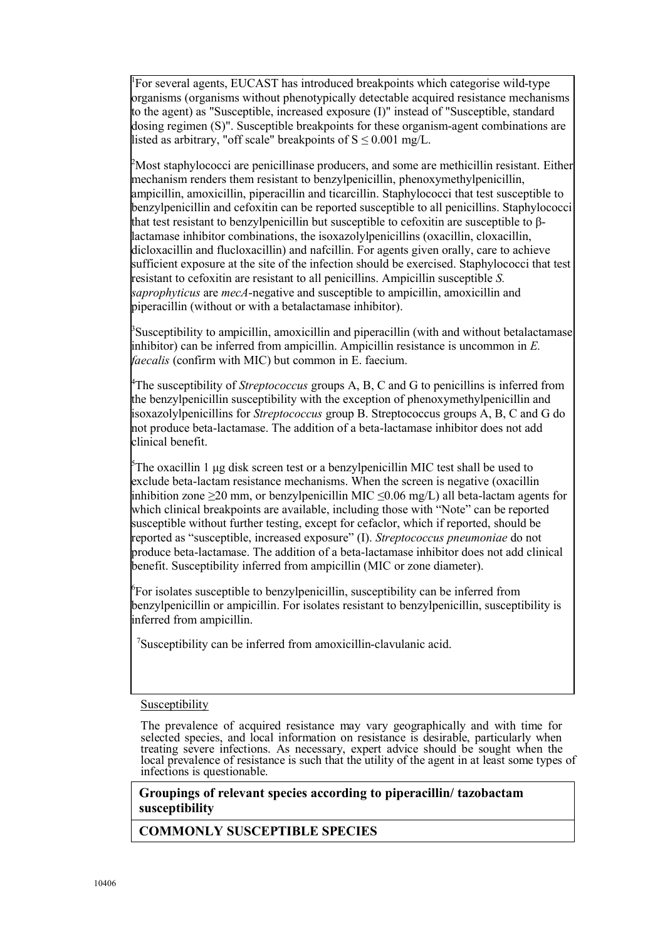<sup>1</sup>For several agents, EUCAST has introduced breakpoints which categorise wild-type organisms (organisms without phenotypically detectable acquired resistance mechanisms to the agent) as "Susceptible, increased exposure (I)" instead of "Susceptible, standard dosing regimen (S)". Susceptible breakpoints for these organism-agent combinations are listed as arbitrary, "off scale" breakpoints of  $S \le 0.001$  mg/L.

 $^{2}$ Most staphylococci are penicillinase producers, and some are methicillin resistant. Either mechanism renders them resistant to benzylpenicillin, phenoxymethylpenicillin, ampicillin, amoxicillin, piperacillin and ticarcillin. Staphylococci that test susceptible to benzylpenicillin and cefoxitin can be reported susceptible to all penicillins. Staphylococci that test resistant to benzylpenicillin but susceptible to cefoxitin are susceptible to βlactamase inhibitor combinations, the isoxazolylpenicillins (oxacillin, cloxacillin, dicloxacillin and flucloxacillin) and nafcillin. For agents given orally, care to achieve sufficient exposure at the site of the infection should be exercised. Staphylococci that test resistant to cefoxitin are resistant to all penicillins. Ampicillin susceptible *S. saprophyticus* are *mecA*-negative and susceptible to ampicillin, amoxicillin and piperacillin (without or with a betalactamase inhibitor).

<sup>3</sup>Susceptibility to ampicillin, amoxicillin and piperacillin (with and without betalactamase inhibitor) can be inferred from ampicillin. Ampicillin resistance is uncommon in *E. faecalis* (confirm with MIC) but common in E. faecium.

<sup>4</sup>The susceptibility of *Streptococcus* groups A, B, C and G to penicillins is inferred from the benzylpenicillin susceptibility with the exception of phenoxymethylpenicillin and isoxazolylpenicillins for *Streptococcus* group B. Streptococcus groups A, B, C and G do not produce beta-lactamase. The addition of a beta-lactamase inhibitor does not add clinical benefit.

<sup>5</sup>The oxacillin 1 μg disk screen test or a benzylpenicillin MIC test shall be used to exclude beta-lactam resistance mechanisms. When the screen is negative (oxacillin inhibition zone  $\geq$ 20 mm, or benzylpenicillin MIC  $\leq$ 0.06 mg/L) all beta-lactam agents for which clinical breakpoints are available, including those with "Note" can be reported susceptible without further testing, except for cefaclor, which if reported, should be reported as "susceptible, increased exposure" (I). *Streptococcus pneumoniae* do not produce beta-lactamase. The addition of a beta-lactamase inhibitor does not add clinical benefit. Susceptibility inferred from ampicillin (MIC or zone diameter).

 $\overline{6}$ For isolates susceptible to benzylpenicillin, susceptibility can be inferred from benzylpenicillin or ampicillin. For isolates resistant to benzylpenicillin, susceptibility is inferred from ampicillin.

<sup>7</sup>Susceptibility can be inferred from amoxicillin-clavulanic acid.

#### Susceptibility

The prevalence of acquired resistance may vary geographically and with time for selected species, and local information on resistance is desirable, particularly when treating severe infections. As necessary, expert advice should be sought when the local prevalence of resistance is such that the utility of the agent in at least some types of infections is questionable.

**Groupings of relevant species according to piperacillin/ tazobactam susceptibility**

**COMMONLY SUSCEPTIBLE SPECIES**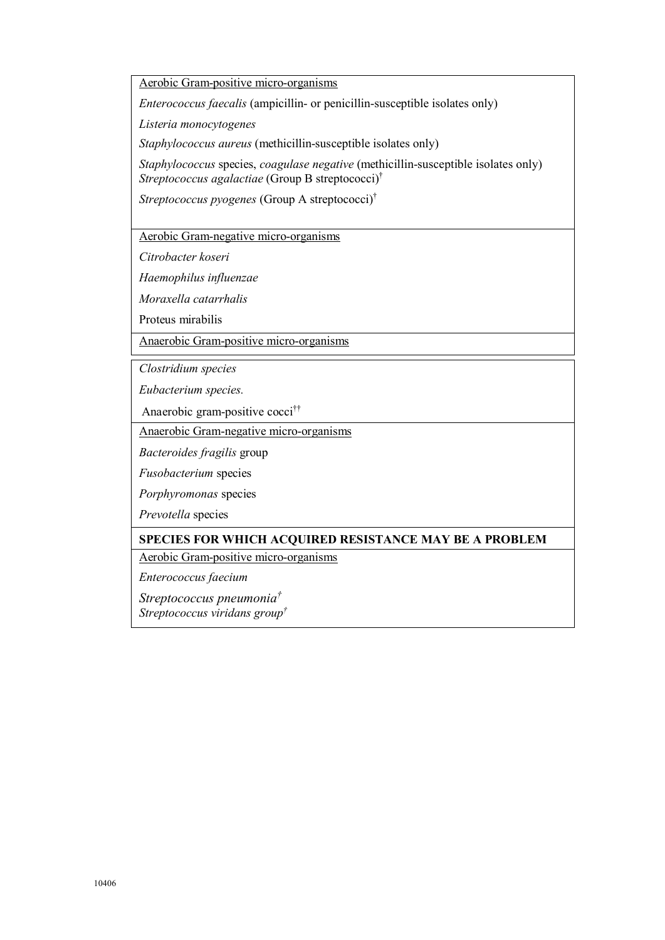Aerobic Gram-positive micro-organisms

*Enterococcus faecalis* (ampicillin- or penicillin-susceptible isolates only)

*Listeria monocytogenes*

*Staphylococcus aureus* (methicillin-susceptible isolates only)

*Staphylococcus* species, *coagulase negative* (methicillin-susceptible isolates only) *Streptococcus agalactiae* (Group B streptococci)†

*Streptococcus pyogenes* (Group A streptococci)†

Aerobic Gram-negative micro-organisms

*Citrobacter koseri* 

*Haemophilus influenzae* 

*Moraxella catarrhalis* 

Proteus mirabilis

Anaerobic Gram-positive micro-organisms

*Clostridium species* 

*Eubacterium species.* 

Anaerobic gram-positive cocci ††

Anaerobic Gram-negative micro-organisms

*Bacteroides fragilis* group

*Fusobacterium* species

*Porphyromonas* species

*Prevotella* species

#### **SPECIES FOR WHICH ACQUIRED RESISTANCE MAY BE A PROBLEM**

Aerobic Gram-positive micro-organisms

*Enterococcus faecium*

*Streptococcus pneumonia † Streptococcus viridans group†*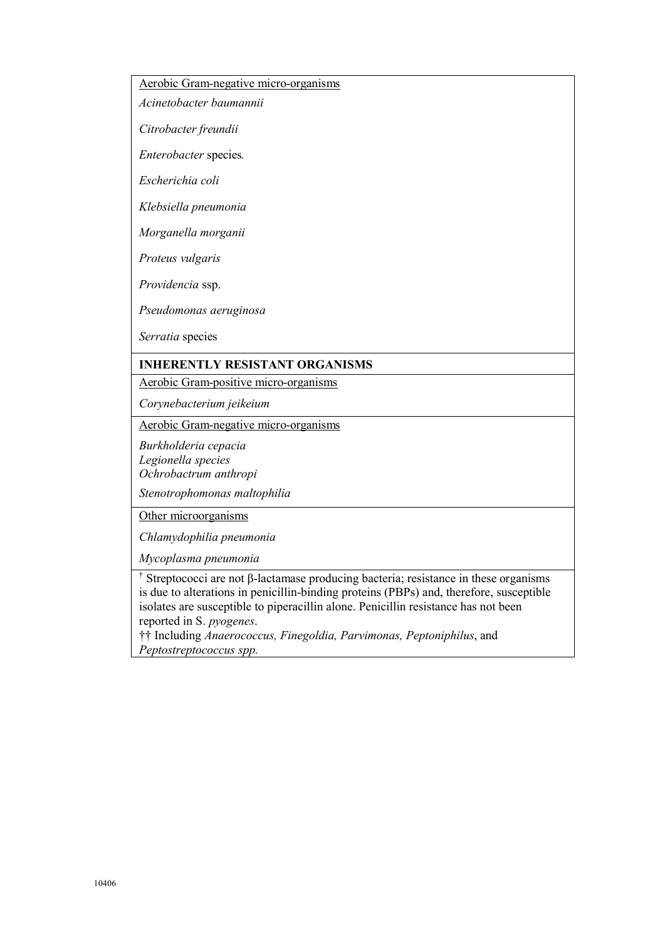Aerobic Gram-negative micro-organisms

*Acinetobacter baumannii*

*Citrobacter freundii* 

*Enterobacter* species*.* 

*Escherichia coli* 

*Klebsiella pneumonia* 

*Morganella morganii* 

*Proteus vulgaris* 

*Providencia* ssp.

*Pseudomonas aeruginosa* 

*Serratia* species

### **INHERENTLY RESISTANT ORGANISMS**

Aerobic Gram-positive micro-organisms

*Corynebacterium jeikeium*

Aerobic Gram-negative micro-organisms

*Burkholderia cepacia* 

*Legionella species Ochrobactrum anthropi*

*Stenotrophomonas maltophilia* 

Other microorganisms

*Chlamydophilia pneumonia*

*Mycoplasma pneumonia*

† Streptococci are not β-lactamase producing bacteria; resistance in these organisms is due to alterations in penicillin-binding proteins (PBPs) and, therefore, susceptible isolates are susceptible to piperacillin alone. Penicillin resistance has not been reported in S. *pyogenes*.

†† Including *Anaerococcus, Finegoldia, Parvimonas, Peptoniphilus*, and *Peptostreptococcus spp.*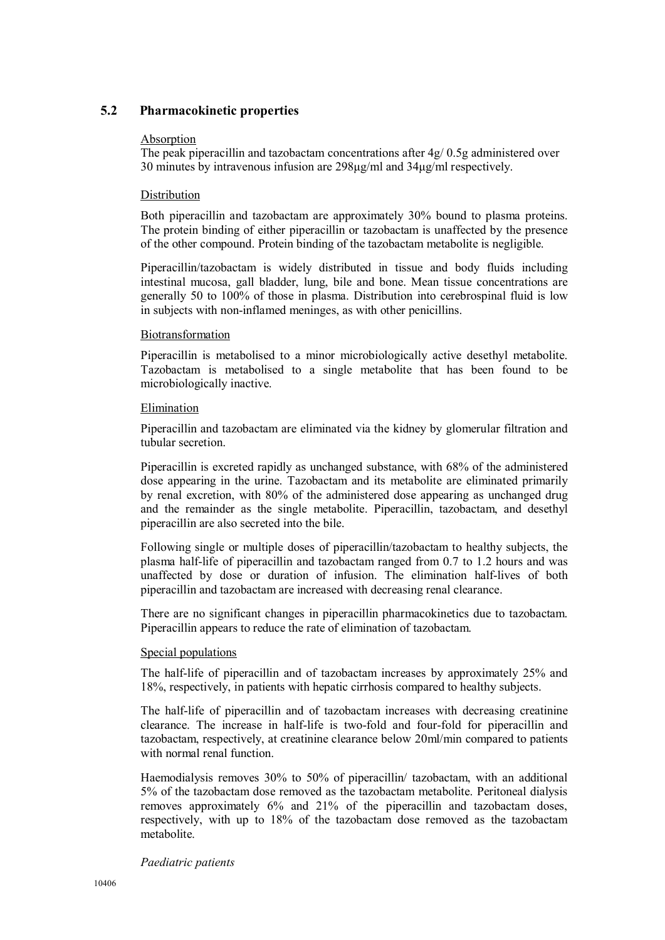#### **5.2 Pharmacokinetic properties**

#### Absorption

The peak piperacillin and tazobactam concentrations after 4g/ 0.5g administered over 30 minutes by intravenous infusion are 298μg/ml and 34μg/ml respectively.

#### Distribution

Both piperacillin and tazobactam are approximately 30% bound to plasma proteins. The protein binding of either piperacillin or tazobactam is unaffected by the presence of the other compound. Protein binding of the tazobactam metabolite is negligible.

Piperacillin/tazobactam is widely distributed in tissue and body fluids including intestinal mucosa, gall bladder, lung, bile and bone. Mean tissue concentrations are generally 50 to 100% of those in plasma. Distribution into cerebrospinal fluid is low in subjects with non-inflamed meninges, as with other penicillins.

#### Biotransformation

Piperacillin is metabolised to a minor microbiologically active desethyl metabolite. Tazobactam is metabolised to a single metabolite that has been found to be microbiologically inactive.

#### Elimination

Piperacillin and tazobactam are eliminated via the kidney by glomerular filtration and tubular secretion.

Piperacillin is excreted rapidly as unchanged substance, with 68% of the administered dose appearing in the urine. Tazobactam and its metabolite are eliminated primarily by renal excretion, with 80% of the administered dose appearing as unchanged drug and the remainder as the single metabolite. Piperacillin, tazobactam, and desethyl piperacillin are also secreted into the bile.

Following single or multiple doses of piperacillin/tazobactam to healthy subjects, the plasma half-life of piperacillin and tazobactam ranged from 0.7 to 1.2 hours and was unaffected by dose or duration of infusion. The elimination half-lives of both piperacillin and tazobactam are increased with decreasing renal clearance.

There are no significant changes in piperacillin pharmacokinetics due to tazobactam. Piperacillin appears to reduce the rate of elimination of tazobactam.

#### Special populations

The half-life of piperacillin and of tazobactam increases by approximately 25% and 18%, respectively, in patients with hepatic cirrhosis compared to healthy subjects.

The half-life of piperacillin and of tazobactam increases with decreasing creatinine clearance. The increase in half-life is two-fold and four-fold for piperacillin and tazobactam, respectively, at creatinine clearance below 20ml/min compared to patients with normal renal function.

Haemodialysis removes 30% to 50% of piperacillin/ tazobactam, with an additional 5% of the tazobactam dose removed as the tazobactam metabolite. Peritoneal dialysis removes approximately 6% and 21% of the piperacillin and tazobactam doses, respectively, with up to 18% of the tazobactam dose removed as the tazobactam metabolite.

#### *Paediatric patients*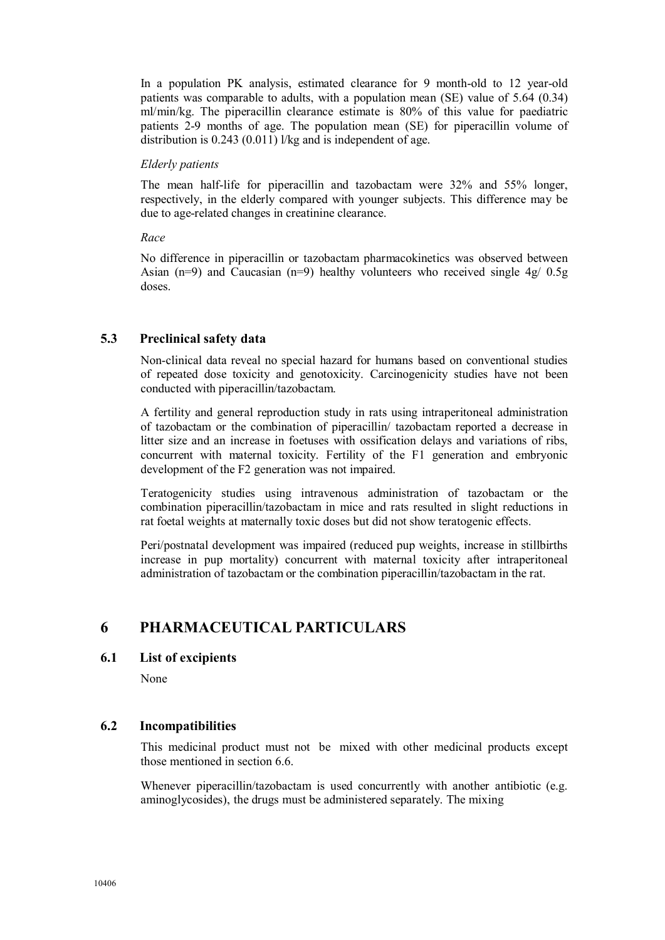In a population PK analysis, estimated clearance for 9 month-old to 12 year-old patients was comparable to adults, with a population mean (SE) value of 5.64 (0.34) ml/min/kg. The piperacillin clearance estimate is 80% of this value for paediatric patients 2-9 months of age. The population mean (SE) for piperacillin volume of distribution is 0.243 (0.011) l/kg and is independent of age.

#### *Elderly patients*

The mean half-life for piperacillin and tazobactam were 32% and 55% longer, respectively, in the elderly compared with younger subjects. This difference may be due to age-related changes in creatinine clearance.

#### *Race*

No difference in piperacillin or tazobactam pharmacokinetics was observed between Asian (n=9) and Caucasian (n=9) healthy volunteers who received single  $4g/0.5g$ doses.

#### **5.3 Preclinical safety data**

Non-clinical data reveal no special hazard for humans based on conventional studies of repeated dose toxicity and genotoxicity. Carcinogenicity studies have not been conducted with piperacillin/tazobactam.

A fertility and general reproduction study in rats using intraperitoneal administration of tazobactam or the combination of piperacillin/ tazobactam reported a decrease in litter size and an increase in foetuses with ossification delays and variations of ribs, concurrent with maternal toxicity. Fertility of the F1 generation and embryonic development of the F2 generation was not impaired.

Teratogenicity studies using intravenous administration of tazobactam or the combination piperacillin/tazobactam in mice and rats resulted in slight reductions in rat foetal weights at maternally toxic doses but did not show teratogenic effects.

Peri/postnatal development was impaired (reduced pup weights, increase in stillbirths increase in pup mortality) concurrent with maternal toxicity after intraperitoneal administration of tazobactam or the combination piperacillin/tazobactam in the rat.

## **6 PHARMACEUTICAL PARTICULARS**

#### **6.1 List of excipients**

None

#### **6.2 Incompatibilities**

This medicinal product must not be mixed with other medicinal products except those mentioned in section 6.6.

Whenever piperacillin/tazobactam is used concurrently with another antibiotic (e.g. aminoglycosides), the drugs must be administered separately. The mixing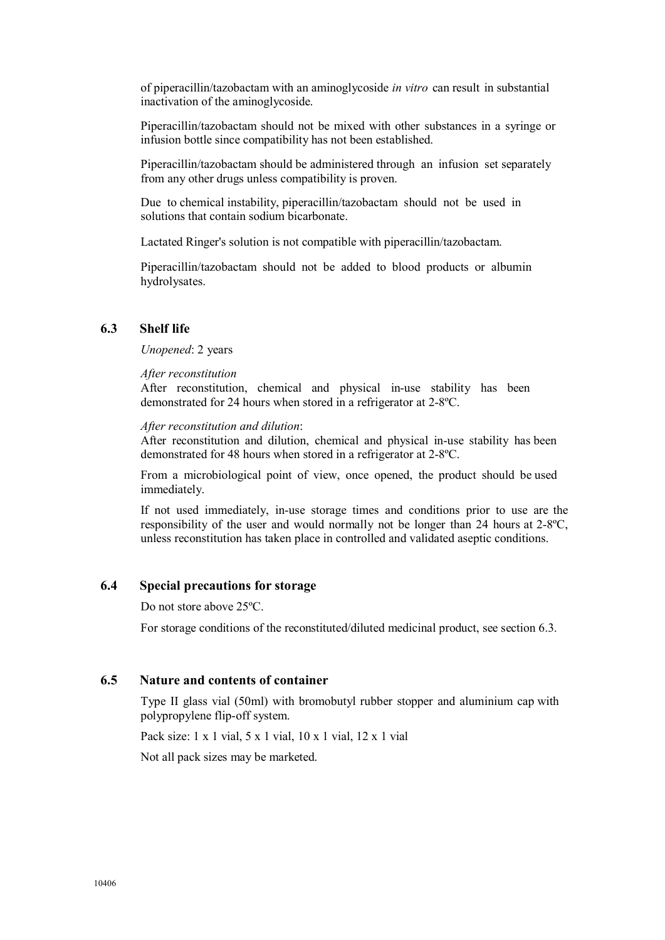of piperacillin/tazobactam with an aminoglycoside *in vitro* can result in substantial inactivation of the aminoglycoside.

Piperacillin/tazobactam should not be mixed with other substances in a syringe or infusion bottle since compatibility has not been established.

Piperacillin/tazobactam should be administered through an infusion set separately from any other drugs unless compatibility is proven.

Due to chemical instability, piperacillin/tazobactam should not be used in solutions that contain sodium bicarbonate.

Lactated Ringer's solution is not compatible with piperacillin/tazobactam.

Piperacillin/tazobactam should not be added to blood products or albumin hydrolysates.

#### **6.3 Shelf life**

*Unopened*: 2 years

*After reconstitution*

After reconstitution, chemical and physical in-use stability has been demonstrated for 24 hours when stored in a refrigerator at 2-8ºC.

*After reconstitution and dilution*:

After reconstitution and dilution, chemical and physical in-use stability has been demonstrated for 48 hours when stored in a refrigerator at 2-8ºC.

From a microbiological point of view, once opened, the product should be used immediately.

If not used immediately, in-use storage times and conditions prior to use are the responsibility of the user and would normally not be longer than 24 hours at 2-8ºC, unless reconstitution has taken place in controlled and validated aseptic conditions.

#### **6.4 Special precautions for storage**

Do not store above 25ºC.

For storage conditions of the reconstituted/diluted medicinal product, see section 6.3.

#### **6.5 Nature and contents of container**

Type II glass vial (50ml) with bromobutyl rubber stopper and aluminium cap with polypropylene flip-off system.

Pack size: 1 x 1 vial, 5 x 1 vial, 10 x 1 vial, 12 x 1 vial

Not all pack sizes may be marketed.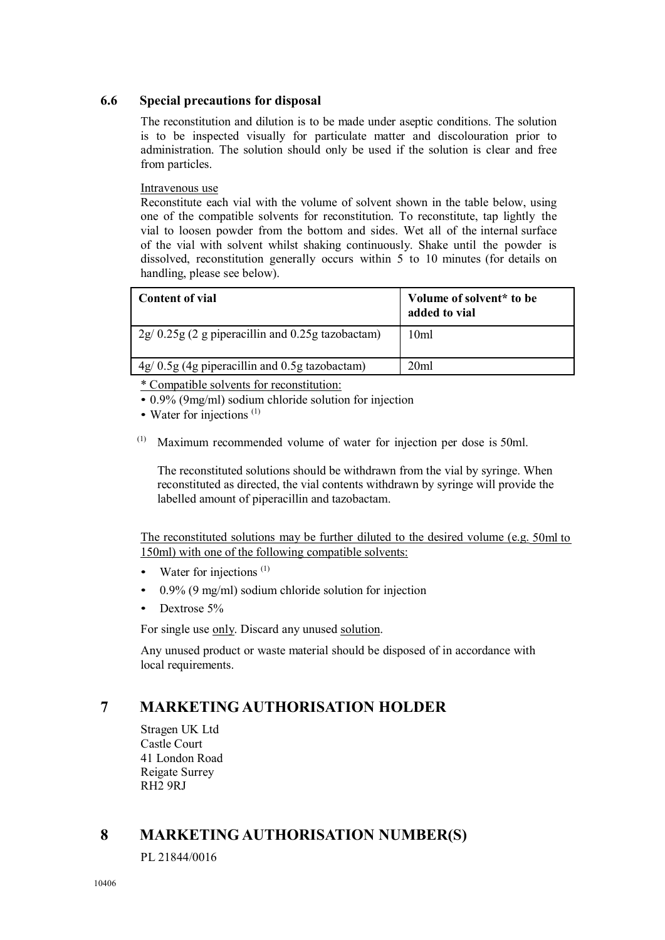#### **6.6 Special precautions for disposal**

The reconstitution and dilution is to be made under aseptic conditions. The solution is to be inspected visually for particulate matter and discolouration prior to administration. The solution should only be used if the solution is clear and free from particles.

#### Intravenous use

Reconstitute each vial with the volume of solvent shown in the table below, using one of the compatible solvents for reconstitution. To reconstitute, tap lightly the vial to loosen powder from the bottom and sides. Wet all of the internal surface of the vial with solvent whilst shaking continuously. Shake until the powder is dissolved, reconstitution generally occurs within 5 to 10 minutes (for details on handling, please see below).

| Content of vial                                    | Volume of solvent* to be<br>added to vial |
|----------------------------------------------------|-------------------------------------------|
| $2g/0.25g$ (2 g piperacillin and 0.25g tazobactam) | 10 <sub>ml</sub>                          |
| $4g/0.5g$ (4g piperacillin and 0.5g tazobactam)    | 20ml                                      |

\* Compatible solvents for reconstitution:

- 0.9% (9mg/ml) sodium chloride solution for injection
- Water for injections<sup>(1)</sup>
- (1) Maximum recommended volume of water for injection per dose is 50ml.

The reconstituted solutions should be withdrawn from the vial by syringe. When reconstituted as directed, the vial contents withdrawn by syringe will provide the labelled amount of piperacillin and tazobactam.

The reconstituted solutions may be further diluted to the desired volume (e.g. 50ml to 150ml) with one of the following compatible solvents:

- Water for injections  $(1)$
- 0.9% (9 mg/ml) sodium chloride solution for injection
- Dextrose 5%

For single use only. Discard any unused solution.

Any unused product or waste material should be disposed of in accordance with local requirements.

## **7 MARKETING AUTHORISATION HOLDER**

Stragen UK Ltd Castle Court 41 London Road Reigate Surrey RH2 9RJ

## **8 MARKETING AUTHORISATION NUMBER(S)**

PL 21844/0016